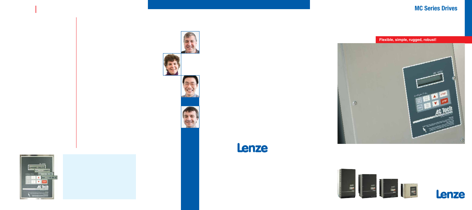# **MC Series Drives**



### **Flexible, simple, rugged, robust!**



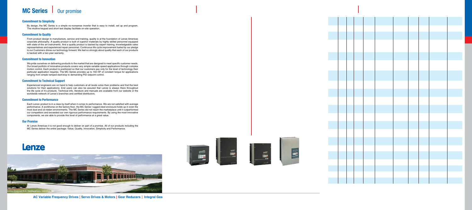## **MC Series** | Our promise

#### **Commitment to Simplicity**

By design, the MC Series is a simple no-nonsense inverter that is easy to install, set up and program. The intuitive keypad and short text display facilitate on-site operation.

#### **Commitment to Quality**

From product design to manufacture, service and training, quality is at the foundation of Lenze Americas corporate philosophy. A quality product is built of superior materials by highly skilled personnel equipped with state-of-the art instruments. And a quality product is backed by expert training, knowledgeable sales representatives and experienced repair personnel. Continuous life cycle improvement fueled by our pledge to our Customers drives our technology forward. We feel so strongly about quality that each of our products is backed with a two-year warranty.

#### **Commitment to Innovation**

We pride ourselves on delivering products to the market that are designed to meet specific customer needs. Our broad portfolio of innovative products covers very simple variable speed applications through complex motion control. Each product is positioned so that our customers pay only for the level of technology their particular application requires. The MC Series provides up to 150 HP of constant torque for applications ranging from simple ramped start/stop to demanding PID setpoint control.

#### **Commitment to Technical Support**

Experienced engineers are on hand to help customers at all levels solve their problems and find the best solutions for their applications. End users can also be assured that Lenze is always there throughout the life cycle of it's products. Technical info, literature and manuals are available from our website or the worldwide network of Lenze's branches and certified distributors.

#### **Commitment to Performance**

Each Lenze product is in a class by itself when it comes to performance. We are not satisfied with average performance. A workhorse on the factory floor, the MC Series' rugged steel enclosure holds up in even the most dust and oil-ridden environments. The MC Series did not reach the marketplace until it outperformed our competitors and exceeded our own rigorous performance requirements. By using the most innovative components, we are able to provide this level of performance at a great value.

#### **Our Promise**

At Lenze Americas it is not good enough to deliver on part of a promise. All of our products including the MC Series deliver the entire package: Value, Quality, Innovation, Simplicity and Performance.

## **Lenze**



Lenze Americas N.A. Headquarters, Uxbridge, MA

**AC Variable Frequency Drives | Servo Drives & Motors | Gear Reducers | Integral Gea**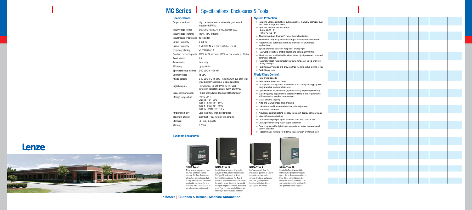### **MC Series | Specifications, Enclosures & Tools**

#### **Specifications**

| Output wave form          | High carrier frequency, sine coded, pulse width<br>modulated (PWM)                                                                                           |
|---------------------------|--------------------------------------------------------------------------------------------------------------------------------------------------------------|
| Input voltage ratings     | 240/120,240/200, 480/400,590/480 VAC                                                                                                                         |
| Input voltage tolerance   | $+10\%$ , -15% of rating                                                                                                                                     |
| Input frequency tolerance | 48 to 62 Hz                                                                                                                                                  |
| Output frequency          | 0-650 Hz                                                                                                                                                     |
| Carrier frequency         | 2.5 kHz to 14 kHz (Drive rated at 8 kHz)                                                                                                                     |
| Frequency stability       | +0.00006% / °C                                                                                                                                               |
| Overload current capacity | 180% for 30 seconds, 150% for one minute (at 8 kHz)                                                                                                          |
| Service factor            | 1.0                                                                                                                                                          |
| Power factor              | Near unity                                                                                                                                                   |
| Efficiency                | Up to 98.5%                                                                                                                                                  |
| Speed reference follower  | 0-10 VDC or 4-20 mA                                                                                                                                          |
| Control voltage           | <b>15 VDC</b>                                                                                                                                                |
| Analog outputs            | 0-10 VDC, or 2-10 VDC (4-20 mA with 500 ohm total<br>impedance). Proportional to speed and load                                                              |
| Digital outputs           | Form C relay: 2A at 28 VDC or 120 VAC<br>Two open-collector outputs: 40mA at 30 VDC                                                                          |
| Serial communications     | RS485 networkable, Modbus RTU (standard)                                                                                                                     |
| Storage temperature       | $-20^\circ$ to 70 $^\circ$ C<br>Chassis -10 $^{\circ}$ - 55 $^{\circ}$ C<br>Type 1 (IP31) -10° - 50°C<br>Type 4 (IP65) -10°-40°C<br>Type 12 (IP54) -10°-40°C |
| Ambient humidity          | Less than 95%, (non-condensing)                                                                                                                              |
| Maximum altitude          | 3300 Feet (1000 meters) w/o derating                                                                                                                         |
| <b>Standards</b>          | UL, cUL, CE(LVD)                                                                                                                                             |
| Warranty                  | 2 Years                                                                                                                                                      |
|                           |                                                                                                                                                              |

#### **Available Enclosures**



**NEMA Type 1** A true general purpose enclosure, the most commonly used in industry. The Type 1 enclosure allows for a free exchange of air to keep the electronics cool while keeping the enclosure size to a minimum. Installation must be in a relatively clean environment.



#### **NEMA Type 12**

Intended for environments that contain dust, oil or other airborne contaminants. The Type 12 enclosure is gasketed to protect the electronics. The Type 4 enclosure is recommended for this duty in the smaller power sizes as we can provide the higher degree of protection at the same price. Type 12 is available in higher sizes where Type 4 would be cost prohibitive.

#### **System Protection**

- Input line voltage calibration: automatically or manually optimizes over and under voltage trip levels
- $\blacktriangleright$  Input line reactors are built-in for: 240V 40-60 HP
	- 480V 75-150 HP
- $\blacktriangleright$  Thermal overload: Inverse  $I<sup>2</sup>t$  motor thermal protection
- Two critical frequency avoidance ranges: with adjustable bandwith
- Programmable automatic restarting after fault for unattended applications
- ▶ Speed reference selection: keypad or analog input
- Password protection: enable/disable and setting (0000-9999)
- Monitor mode: enable/disable allows view-only of password protected parameter settings
- Parameter reset: reset to factory defaults (choice of 50 Hz or 60 Hz factory settings)
- ▶ Fault history: View log of 8 previous trips w/ drive status at time of trip
- ► Fault history reset

#### **World Class Control**

- Four preset speeds
- $\blacktriangleright$  Independent Accel and Decel
- DC injection braking timed or continuous on starting or stopping with programmable maximum load level
- Dynamic brake enable/disable (dynamic braking requires option card)
- ▶ Base frequency adjustment to calibrate V/Hz to motor requirements with constant or variable torque curves
- ► Coast or ramp stopping
- ▶ Auto and Manual mode enable/disable
- Units display calibration and decimal point adjustment
- Load meter calibration
- Adjustable contrast setting for easy viewing of display from any angle
- ► Load reference calibration
- ▶ Load indicating output signal selection: 0-10 VDC or 4-20 mA
- ▶ Load/speed indicating output signal calibration
- Four programmable digital input terminals for speed reference and control activation
- Programmable terminal for external trip activation or manual reset



**NEMA Type 4** For "wash‑down" duty, the enclosure is gasketed to protect the electronics from water sprayed directly on and around the drive, typically to keep

the equipment clean. And no cooling fans are needed.



**NEMA Type 4X** Identical to Type 4 (water-tight) but must also protect from caustic agents. Lenze Americas manufactures these drives using stainless-steel enclosures and anodized heat sinks which provide superior heat transfer and greater structural integrity.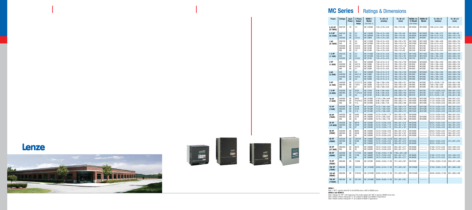# **MC Series | Ratings & Dimensions**

| <b>Power</b>             | <b>Voltage</b>                              | Input<br><b>Phase</b>      | 3 Phase<br><b>Output</b><br><b>Amps</b> | <b>NEMA1</b><br>Model<br>(See Note 1)                                    | HxWxD<br>(inches)                                                                                                                    | HxWxD<br>(mm)                                                                             | <b>NEMA 4 &amp;</b><br>12 Model<br>(See Notes)   | <b>NEMA 4X</b><br><b>Model</b>                   | HxWxD<br>(inches)                                                                                          | HxWxD<br>(mm)                                                                               |
|--------------------------|---------------------------------------------|----------------------------|-----------------------------------------|--------------------------------------------------------------------------|--------------------------------------------------------------------------------------------------------------------------------------|-------------------------------------------------------------------------------------------|--------------------------------------------------|--------------------------------------------------|------------------------------------------------------------------------------------------------------------|---------------------------------------------------------------------------------------------|
| $0.25$ HP<br>(0.18kW)    | 240/120                                     | 1Ø                         | 1.4                                     | $M(*)103SB$                                                              | 7.50 x 4.70 x 3.33                                                                                                                   | 190 x 119 x 85                                                                            | M1103SC                                          | M1103SE                                          | 7.88 x 6.12 x 3.63                                                                                         | 200 x 155 x 92                                                                              |
| $0.5$ HP<br>(0.37kW)     | 240/120<br>240<br>240/200                   | 1Ø<br>10<br>3Ø             | 2.2<br>2.2<br>2.2/2.5                   | $M(*)105SB$<br>$M(^{*})205SB$<br>$M(^{*})205B$                           | $7.50 \times 6.12 \times 3.63$<br>7.50 x 4.70 x 3.63<br>$7.50 \times 4.70 \times 3.63$                                               | 190 x 155 x 92<br>190 x 119 x 92<br>190 x 119 x 92                                        | M1105SC<br>M1205SC<br>M1205C                     | M1105SE<br>M1205SE<br>M1205E                     | 7.88 x 7.86 x 3.75<br>$7.88 \times 6.12 \times 4.35$<br>$7.88 \times 6.12 \times 4.35$                     | 200 x 200 x 95<br>200 x 155 x 110<br>200 x 155 x 110                                        |
| 1 HP<br>(0.75kW)         | 240/120<br>240<br>240/200<br>480/400<br>590 | 1Ø<br>1Ø<br>ЗØ<br>ЗØ<br>3Ø | 4.0<br>4.0<br>4.0/4.6<br>2.0/2.3<br>1.6 | $M(*)110SB$<br>$M(*)210SB$<br>$M(^{*})210B$<br>$M(*)410B$<br>$M(*)$ 510B | $7.50 \times 6.12 \times 4.22$<br>7.50 x 4.70 x 4.33<br>7.50 x 4.70 x 4.33<br>7.50 x 4.70 x 3.63<br>7.50 x 4.70 x 3.63               | 190 x 155 x 107<br>190 x 119 x 110<br>190 x 119 x 110<br>190 x 119 x 92<br>190 x 119 x 92 | M1110SC<br>M1210SC<br>M1210C<br>M1410C<br>M1510C | M1110SE<br>M1210SE<br>M1210E<br>M1410E<br>M1510E | 7.88 x 7.86 x 4.90<br>7.88 x 6.12 x 4.35<br>7.88 x 6.12 x 4.35<br>7.88 x 6.12 x 4.35<br>7.88 x 6.12 x 4.35 | 200 x 200 x 124<br>200 x 155 x 110<br>200 x 155 x 110<br>200 x 155 x 110<br>200 x 155 x 110 |
| $1.5$ HP<br>(1.1kW)      | 240/120<br>240<br>240/200                   | 1Ø<br>1Ø<br>3Ø             | 5.2<br>5.2<br>5.2/6.0                   | $M(*)115SB$<br>$M(*)215SB$<br>$M(^{*})215B$                              | $7.50 \times 6.12 \times 4.22$<br>$7.50 \times 6.12 \times 4.22$<br>$7.50 \times 4.70 \times 4.33$                                   | 190 x 155 x 107<br>190 x 155 x 107<br>190 x 119 x 110                                     | M1115SC<br>M1215SC<br>M1215C                     | M1115SE<br>M1215SE<br>M1215E                     | 7.88 x 7.86 x 4.90<br>7.88 x 7.86 x 4.90<br>$7.88 \times 6.12 \times 5.25$                                 | 200 x 200 x 124<br>200 x 200 x 124<br>200 x 155 x 133                                       |
| 2 HP<br>(1.5kW)          | 240<br>240/200<br>480/400<br>590            | 1Ø<br>ЗØ<br>ЗØ<br>ЗØ       | 6.8<br>6.8/7.8<br>3.4/3.9<br>2.7        | $M(^{*})220SB$<br>M(*)220B<br>$M(^{*})420B$<br>$M(^{*})520B$             | 7.50 x 6.12 x 5.12<br>$7.50 \times 6.12 \times 5.12$<br>$7.50 \times 6.12 \times 4.22$<br>$7.50 \times 6.12 \times 4.22$             | 190 x 155 x 130<br>190 x 155 x 130<br>190 x 155 x 107<br>190 x 155 x 107                  | M1220SC<br>M1220C<br>M1420C<br>M1520C            | M1220SE<br>M1220E<br>M1420E<br>M1520E            | 7.88 x 7.86 x 4.90<br>7.88 x 7.86 x 4.90<br>7.88 x 7.86 x 4.90<br>7.88 x 7.86 x 4.90                       | 200 x 200 x 124<br>200 x 200 x 124<br>200 x 200 x 124<br>200 x 200 x 124                    |
| 3 HP<br>(2.2kW)          | 240<br>240/200<br>240/400<br>590            | 10<br>3Ø<br>3Ø<br>3Ø       | 9.6<br>9.6/11.0<br>4.8/5.5<br>3.9       | $M(^{*})230SB$<br>$M(^{*})230B$<br>$M(*)430B$<br>$M(*)530B$              | $7.50 \times 6.12 \times 5.12$<br>$7.50 \times 6.12 \times 5.12$<br>$7.50 \times 6.12 \times 5.12$<br>$7.50 \times 6.12 \times 5.12$ | 190 x 155 x 130<br>190 x 155 x 130<br>190 x 155 x 130<br>190 x 155 x 130                  | M1230SC<br>M1230C<br>M1430C<br>M1530C            | M1230SC<br>M1230C<br>M1430C<br>M1530C            | 7.88 x 7.86 x 5.90<br>7.88 x 7.86 x 5.90<br>7.88 x 7.86 x 4.90<br>7.88 x 7.86 x 4.90                       | 200 x 200 x 150<br>200 x 200 x 150<br>200 x 200 x 124<br>200 x 200 x 124                    |
| 5 HP<br>(3.7kW)          | 240/200<br>480/400<br>590                   | 3Ø<br>ЗØ<br>3Ø             | 15.2/17.5<br>7.6/8.7<br>6.1             | $M(*)250B$<br>$M(^{*})450B$<br>$M(^{*})$ 551B                            | 7.88 x 7.86 x 5.94<br>$7.50 \times 6.12 \times 5.12$<br>7.88 x 7.86 x 5.94                                                           | 200 x 200 x 151<br>190 x 155 x 130<br>200 x 200 x 151                                     | M1250C<br>M1450C<br>M1550C                       | M1250E<br>M1450E<br>M1550E                       | 9.75 x 10.26 x 7.20<br>7.88 x 7.86 x 5.90<br>7.88 x 7.86 x 5.90                                            | 248 x 261 x 183<br>200 x 200 x 150<br>200 x 200 x 150                                       |
| 7.5 HP<br>(5.5kW)        | 240/200<br>480/400<br>590                   | 3Ø<br>3Ø<br>3Ø             | 22/25<br>11.0/12.6<br>9.0               | $M(^{*})275B$<br>$M(*)475B$<br>$M(^{*})575B$                             | $9.38 \times 7.86 \times 6.84$<br>$9.38 \times 7.86 \times 6.25$<br>$9.38 \times 7.86 \times 6.25$                                   | 238 x 200 x 174<br>238 x 200 x 159<br>238 x 200 x 159                                     | M1275C<br>M1475C<br>M1575C                       | M1275E<br>M1475E<br>M1575E                       | 11.75 x 10.26 x 8.35<br>$9.75 \times 10.26 \times 7.20$<br>$9.75 \times 10.26 \times 7.20$                 | 298 x 261 x 212<br>248 x 261 x 183<br>248 x 261 x 183                                       |
| <b>10 HP</b><br>(7.5kW)  | 240/200<br>480/400<br>590                   | 3Ø<br>ЗØ<br>ЗØ             | 28/32<br>14.0/16.0<br>11.0              | $M(^{*})2100B$<br>$M(*)4100B$<br>$M(*)5100B$                             | 11.25 x 7.86 x 6.84<br>$9.38 \times 7.86 \times 6.84$<br>$9.38 \times 7.86 \times 7.40$                                              | 286 x 200 x 174<br>238 x 200 x 174<br>238 x 200 x 188                                     | M12100C<br>M14100C<br>M15100C                    | M12100E<br>M14100E<br>M15100E                    | 13.75 x 10.26 x 8.35<br>11.75 x 10.26 x 8.35<br>11.75 x 10.26 x 8.35                                       | 349 x 261 x 212<br>298 x 261 x 212<br>298 x 261 x 212                                       |
| <b>15 HP</b><br>(11kW)   | 240/200<br>480/400<br>590                   | 3Ø<br>3Ø<br>3Ø             | 42/48<br>21/24<br>17.0                  | $M(*)2150B$<br>$M(*)4150B$<br>$M(*)5150B$                                | 12.75 x 7.86 x 6.84<br>11.25 x 7.86 x 6.84<br>12.75 x 7.86 x 6.84                                                                    | 324 x 200 x 174<br>286 x 200 x 174<br>324 x 200 x 174                                     | M12150C<br>M14150C<br>M15150C                    | M12150E<br>M14150E<br>M15150E                    | 15.75 x 10.26 x 8.35<br>13.75 x 10.26 x 8.35<br>13.75 x 10.26 x 8.35                                       | 400 x 261 x 212<br>349 x 261 x 212<br>349 x 261 x 212                                       |
| <b>20 HP</b><br>(15kW)   | 240/200<br>480/400<br>590                   | ЗØ<br>ЗØ<br>3Ø             | 54/62<br>27/31<br>22                    | $M(^{*})2200B$<br>$M(^{*})4200B$<br>M(*)5200B                            | 12.75 x 10.26 x 7.74<br>12.75 x 7.86 x 6.84<br>12.75 x 7.86 x 7.40                                                                   | 324 x 261 x 197<br>324 x 200 x 174<br>324 x 200 x 188                                     | M12200D<br>M14200C<br>M15200C                    | ------------<br>M14200E<br>M15200E               | 15.75 x 10.26 x 8.35<br>15.75 x 10.26 x 8.35<br>15.75 x 10.26 x 8.35                                       | 400 x 261 x 212<br>400 x 261 x 212<br>400 x 261 x 212                                       |
| <b>25 HP</b><br>(18.5kW) | 240/200<br>480/400<br>590                   | 3Ø<br>3Ø<br>3Ø             | 68/78<br>34/39<br>27                    | $M(^{*})2250B$<br>$M(^{*})4250B$<br>$M(^{*})5250B$                       | 15.75 x 10.26 x 8.35<br>12.75 x 10.26 x 7.74<br>12.75 x 10.26 x 7.74                                                                 | 400 x 261 x 212<br>324 x 261 x 197<br>324 x 261 x 197                                     | M12250D<br>M14250D<br>M15250D                    | ------------<br>------------<br>------------     | 20.25 x 10.26 x 8.35<br>15.75 x 10.26 x 8.35<br>15.75 x 10.26 x 8.35                                       | 514 x 261 x 212<br>400 x 261 x 212<br>400 x 261 x 212                                       |
| <b>30 HP</b><br>(22kW)   | 240/200<br>480/400<br>590                   | 3Ø<br>3Ø<br>ЗØ             | 80/92<br>40/46<br>32                    | $M(^{*})2300B$<br>$M(*)4300B$<br>$M(^{*})5300B$                          | 15.75 x 10.26 x 8.35<br>12.75 x 10.26 x 7.74<br>12.75 x 10.26 x 8.25                                                                 | 400 x 261 x 212<br>324 x 261 x 197<br>324 x 261 x 210                                     | M12300D<br>M14300D<br>M15300D                    | ------------<br>------------<br>------------     | 20.25 x 10.26 x 8.35<br>15.75 x 10.26 x 8.35<br>15.75 x 10.26 x 8.35                                       | 514 x 261 x 212<br>400 x 261 x 212<br>400 x 261 x 212                                       |
| <b>40 HP</b><br>(30kW)   | 240/200<br>480/400<br>590                   | 3Ø<br>ЗØ<br>3Ø             | 120/104<br>52/60<br>41                  | $M(*)2400B$<br>$M(*)4400B$<br>$M(*)$ 5400B                               | 25.00 x 13.00 x 10.50<br>15.75 x 10.26 x 8.35<br>15.75 x 10.26 x 8.35                                                                | 635 x 330 x 212<br>400 x 261 x 212<br>400 x 261 x 212                                     | ------------<br>M14400D<br>M15400D               | ------------<br>------------<br>------------     | 20.25 x 10.26 x 8.35<br>20.25 x 10.26 x 8.35                                                               | 514 x 261 x 212                                                                             |
| 50 HP<br>(37.5kW)        | 480/400<br>590                              | ЗØ<br>ЗØ                   | 65/75<br>52                             | $M(^{*})4500B$<br>$M(*)5500B$                                            | 19.75 x 10.26 x 8.55<br>19.75 x 10.26 x 8.55                                                                                         | 502 x 261 x 217<br>502 x 261 x 217                                                        | M14500D<br>M15500D                               | ------------<br>------------                     | 21.00 x 13.72 x 8.35<br>21.00 x 13.72 x 8.35                                                               | 533 x 348 x 212<br>533 x 348 x 212                                                          |
| <b>60 HP</b><br>(45kW)   | 240/200<br>480/400<br>590                   | 3Ø<br>3Ø<br>ЗØ             | 177/154<br>77/88<br>62                  | $M(^{*})2600B$<br>$M(^{*})4600B$<br>$M(^{*})5600B$                       | 47.00 x 16.64 x 11.85<br>19.75 x 10.26 x 8.55<br>19.75 x 10.26 x 8.55                                                                | 1194 x 423 x 301<br>502 x 261 x 217<br>502 x 261 x 217                                    | M14600D<br>M15600D                               | ------------<br>------------                     | 21.00 x 13.72 x 8.35<br>21.00 x 13.72 x 8.35                                                               | 533 x 348 x 212<br>533 x 348 x 212                                                          |
| <b>75 HP</b><br>(55kW)   | 480/400                                     | ЗØ                         | 110/96                                  | $M(^{*})4750B$                                                           | 29.00 x 16.64 x 11.85                                                                                                                | 737 x 423 x 301                                                                           | M14750D                                          | ------------                                     | 37.00 x 18.00 x 13.30                                                                                      | 940 x 457 x 338                                                                             |
| <b>100 HP</b><br>(75kW)  | 480/400                                     | 3Ø                         | 143/124                                 | M(*)41000B                                                               | 29.00 x 24.42 x 11.85                                                                                                                | 737 x 620 x 301                                                                           | M141000D                                         | ------------                                     | 37.00 x 18.00 x 13.30                                                                                      | 991 x 660 x 338                                                                             |
| 125 HP<br>(90kW)         | 480/400                                     | ЗØ                         | 179/156                                 | M(*)41250B                                                               | 29.00 x 24.42 x 11.85                                                                                                                | 737 x 620 x 301                                                                           | M141250D                                         | ------------                                     | 39.00 x 26.00 x 13.30                                                                                      | 991 x 660 x 338                                                                             |
| <b>150 HP</b><br>(110kW) | 480/400                                     | ЗØ                         | 207/180                                 | M(*)41500B                                                               | 29.00 x 36.66 x 11.85                                                                                                                | 737 x 931 x 301                                                                           | ------------                                     | ------------                                     |                                                                                                            |                                                                                             |

**NEMA 1**<br>Note 1: "M(\*)" signifies either M1 for the M1000 series or M3 for M3000 series.

**NEMA 4 and NEMA12**

Note 2: Replace the "M1" at the beginning of the model number with "M3" to specify a M3000 series drive.<br>Note 3: Model numbers ending with "C" are suitable for NEMA 4 and NEMA 12 applications.<br>Note 4: Model numbers ending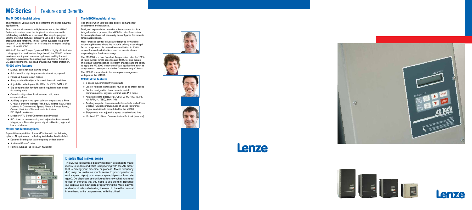# **MC Series** Features and Benefits

#### **The M1000 industrial drives**

The intelligent, versatile and cost-effective choice for industrial applications.

From harsh environments to high torque loads, the M1000 Series microdrives meet the toughest requirements with outstanding reliability, at a low cost. The easy-to-program M1000 offers full features, extensive I/O, and a full array of programmable functions. The M1000 is available in a power range of 1/4 to 150 HP (0.18 - 110 kW) and voltages ranging from 115 to 575 VAC.

With its Enhanced Torque System (ETS), a highly efficient sine coding algorithm and "auto-voltage boost," the M1000 delivers maximum starting and accelerating torque and tight speed regulation, even under fluctuating load conditions. A built-in, UL-approved thermal overload provides full motor protection.

#### **M1000 drive features**

- Manual boost for high starting torque
- Auto-boost for high torque acceleration at any speed
- ▶ Power-up & auto restart modes
- Sleep mode with adjustable speed threshold and time.
- Adjustable units display: Hz, RPM, %, /SEC, /MIN, /HR
- Slip compensation for tight speed regulation even under fluctuating loads
- Control configuration: local, remote, both, serial communications
- Auxiliary outputs two open collector outputs and a Form C relay. Functions include: Run, Fault, Inverse Fault, Fault Lockout, At Commanded Speed, Above a Preset Speed, Current Limit, Auto/ Manual Mode Indication, PID High/Low Alarms
- ▶ Modbus<sup>®</sup> RTU Serial Communication Protocol
- ▶ PID: direct or reverse acting with adjustable Proportional, Integral, and Derivative gains, signal calibration, high and low level alarms.

#### **M1000 and M3000 options**

Expand the capabilities of your MC drive with the following options. All options can be factory installed or field installed.

- Dynamic Braking: for faster stopping or deceleration
- ▶ Additional Form-C relay
- ▶ Remote Keypad (up to NEMA 4X rating)



#### **The M3000 industrial drives**

The choice when your process control demands fast acceleration and response.

Designed expressly for use where the motor control is an integral part of a process, the M3000 is rated for constant torque applications but can easily be configured for variable torque applications.

Most "process control" drives are designed for variable torque applications where the motor is driving a centrifugal fan or pump. As such, these drives are limited to 110% current for overload situations such as acceleration or responding to a feedback change.

The MC3000 is a true Constant Torque drive rated for 180% of rated current for 30 seconds and 150% for one minute; this allows faster response to system changes and the ability to apply the MC3000 to non-centrifugal applications such as compressors, conveyors and other "constant torque" loads.

The M3000 is available in the same power ranges and voltages as the M1000.

#### **M3000 drive features**

- ▶ 3-speed synchronized flying restarts
- Loss of follower signal action: fault or go to preset speed
- Control configuration: local, remote, serial communications, keypad, terminal strip, PID mode
- ▶ Adjustable units display: PSI, CFM, GPM, FPM, IN, FT, Hz, RPM, %, /SEC, /MIN, /HR
- Auxiliary outputs two open collector outputs and a Form C relay: Functions include Loss of Speed Reference Signal in addition to those listed for the M1000.
- Sleep mode with adjustable speed threshold and time.
- ▶ Modbus® RTU Serial Communication Protocol (standard)

### **Display that makes sense**

The MC Series keypad display has been designed to make it easy to understand what is happening with the AC motor that is driving your machine or process. Motor frequency (Hz) may not make as much sense to your operator as motor speed (rpm) or conveyor speed (fpm) or flow rate (gpm). Displays can be configured to show what you need to see, in the units that you need to see them in. Because our displays are in English, programming the MC is easy to understand, often eliminating the need to have the manual in one hand while programming with the other!